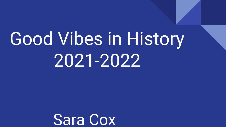# Good Vibes in History 2021-2022

Sara Cox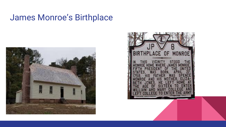#### James Monroe's Birthplace



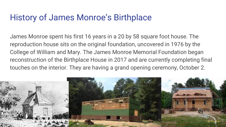### History of James Monroe's Birthplace

James Monroe spent his first 16 years in a 20 by 58 square foot house. The reproduction house sits on the original foundation, uncovered in 1976 by the College of William and Mary. The James Monroe Memorial Foundation began reconstruction of the Birthplace House in 2017 and are currently completing final touches on the interior. They are having a grand opening ceremony, October 2.

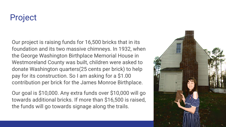#### Project

Our project is raising funds for 16,500 bricks that in its foundation and its two massive chimneys. In 1932, when the George Washington Birthplace Memorial House in Westmoreland County was built, children were asked to donate Washington quarters(25 cents per brick) to help pay for its construction. So I am asking for a \$1.00 contribution per brick for the James Monroe Birthplace.

Our goal is \$10,000. Any extra funds over \$10,000 will go towards additional bricks. If more than \$16,500 is raised, the funds will go towards signage along the trails.

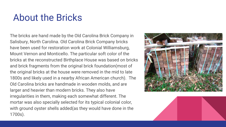# About the Bricks

The bricks are hand made by the Old Carolina Brick Company in Salisbury, North Carolina. Old Carolina Brick Company bricks have been used for restoration work at Colonial Williamsburg, Mount Vernon and Monticello. The particular soft color of the bricks at the reconstructed Birthplace House was based on bricks and brick fragments from the original brick foundation(most of the original bricks at the house were removed in the mid to late 1800s and likely used in a nearby African American church). The Old Carolina bricks are handmade in wooden molds, and are larger and heavier than modern bricks. They also have irregularities in them, making each somewhat different. The mortar was also specially selected for its typical colonial color, with ground oyster shells added(as they would have done in the 1700s).



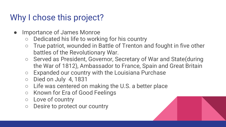## Why I chose this project?

- Importance of James Monroe
	- Dedicated his life to working for his country
	- True patriot, wounded in Battle of Trenton and fought in five other battles of the Revolutionary War.
	- Served as President, Governor, Secretary of War and State(during the War of 1812), Ambassador to France, Spain and Great Britain
	- Expanded our country with the Louisiana Purchase
	- Died on July 4, 1831
	- Life was centered on making the U.S. a better place
	- Known for Era of Good Feelings
	- Love of country
	- Desire to protect our country

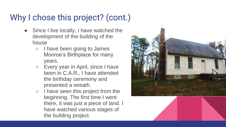# Why I chose this project? (cont.)

- Since I live locally, I have watched the development of the building of the house
	- I have been going to James Monroe's Birthplace for many years.
	- Every year in April, since I have been in C.A.R., I have attended the birthday ceremony and presented a wreath.
	- I have seen this project from the beginning. The first time I went there, it was just a piece of land. I have watched various stages of the building project.

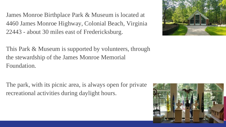James Monroe Birthplace Park & Museum is located at 4460 James Monroe Highway, Colonial Beach, Virginia 22443 - about 30 miles east of Fredericksburg.

This Park & Museum is supported by volunteers, through the stewardship of the James Monroe Memorial Foundation.

The park, with its picnic area, is always open for private recreational activities during daylight hours.



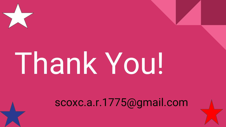# Thank You!

# scoxc.a.r.1775@gmail.com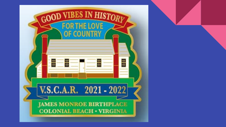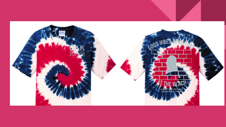![](_page_10_Picture_0.jpeg)